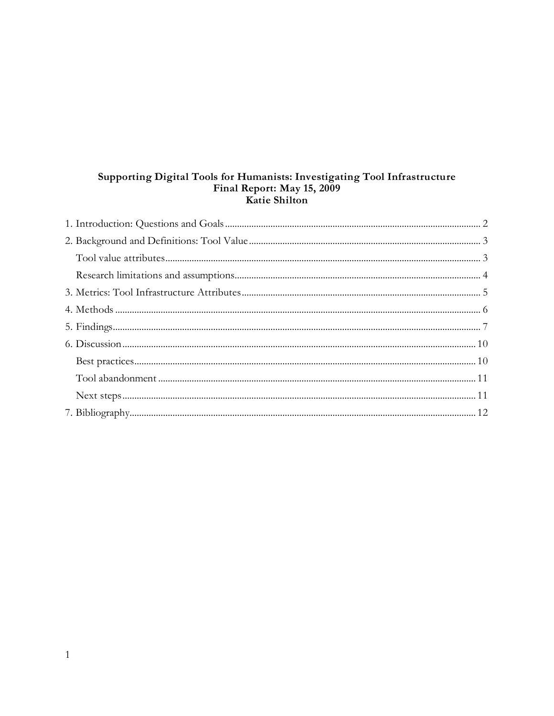# Supporting Digital Tools for Humanists: Investigating Tool Infrastructure Final Report: May 15, 2009<br>Katie Shilton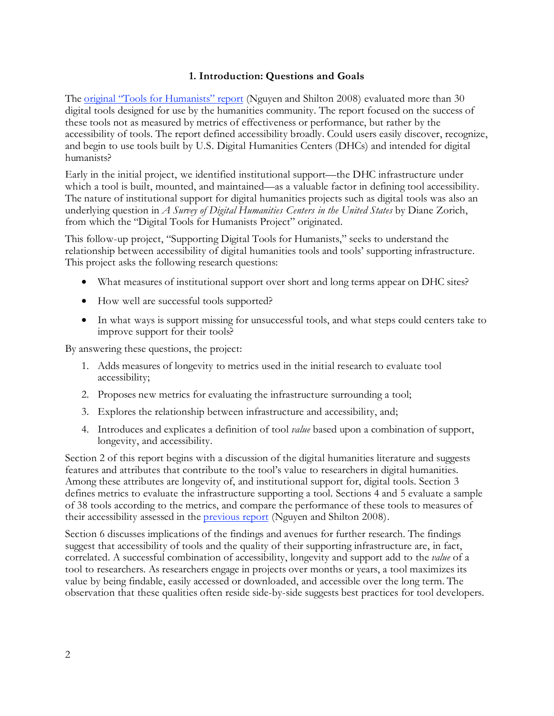# **1. Introduction: Questions and Goals**

The [original "Tools for Humanists" report](http://www.clir.org/pubs/reports/pub143/appendf.html) (Nguyen and Shilton 2008) evaluated more than 30 digital tools designed for use by the humanities community. The report focused on the success of these tools not as measured by metrics of effectiveness or performance, but rather by the accessibility of tools. The report defined accessibility broadly. Could users easily discover, recognize, and begin to use tools built by U.S. Digital Humanities Centers (DHCs) and intended for digital humanists?

Early in the initial project, we identified institutional support—the DHC infrastructure under which a tool is built, mounted, and maintained—as a valuable factor in defining tool accessibility. The nature of institutional support for digital humanities projects such as digital tools was also an underlying question in *A Survey of Digital Humanities Centers in the United States* by Diane Zorich, from which the "Digital Tools for Humanists Project" originated.

This follow-up project, "Supporting Digital Tools for Humanists," seeks to understand the relationship between accessibility of digital humanities tools and tools' supporting infrastructure. This project asks the following research questions:

- What measures of institutional support over short and long terms appear on DHC sites?
- How well are successful tools supported?
- In what ways is support missing for unsuccessful tools, and what steps could centers take to improve support for their tools?

By answering these questions, the project:

- 1. Adds measures of longevity to metrics used in the initial research to evaluate tool accessibility;
- 2. Proposes new metrics for evaluating the infrastructure surrounding a tool;
- 3. Explores the relationship between infrastructure and accessibility, and;
- 4. Introduces and explicates a definition of tool *value* based upon a combination of support, longevity, and accessibility.

Section 2 of this report begins with a discussion of the digital humanities literature and suggests features and attributes that contribute to the tool's value to researchers in digital humanities. Among these attributes are longevity of, and institutional support for, digital tools. Section 3 defines metrics to evaluate the infrastructure supporting a tool. Sections 4 and 5 evaluate a sample of 38 tools according to the metrics, and compare the performance of these tools to measures of their accessibility assessed in the **previous report** (Nguyen and Shilton 2008).

Section 6 discusses implications of the findings and avenues for further research. The findings suggest that accessibility of tools and the quality of their supporting infrastructure are, in fact, correlated. A successful combination of accessibility, longevity and support add to the *value* of a tool to researchers. As researchers engage in projects over months or years, a tool maximizes its value by being findable, easily accessed or downloaded, and accessible over the long term. The observation that these qualities often reside side-by-side suggests best practices for tool developers.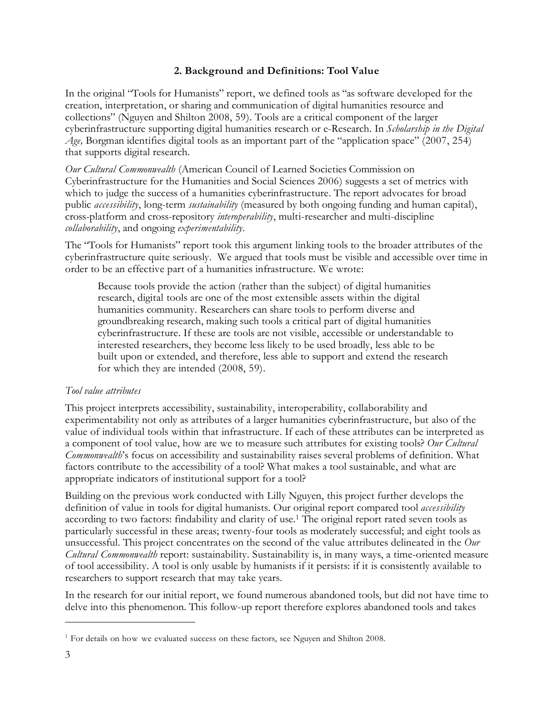# **2. Background and Definitions: Tool Value**

In the original "Tools for Humanists" report, we defined tools as "as software developed for the creation, interpretation, or sharing and communication of digital humanities resource and collections" (Nguyen and Shilton 2008, 59). Tools are a critical component of the larger cyberinfrastructure supporting digital humanities research or e-Research. In *Scholarship in the Digital Age,* Borgman identifies digital tools as an important part of the "application space" (2007, 254) that supports digital research.

*Our Cultural Commonwealth* (American Council of Learned Societies Commission on Cyberinfrastructure for the Humanities and Social Sciences 2006) suggests a set of metrics with which to judge the success of a humanities cyberinfrastructure. The report advocates for broad public *accessibility*, long-term *sustainability* (measured by both ongoing funding and human capital), cross-platform and cross-repository *interoperability*, multi-researcher and multi-discipline *collaborability*, and ongoing *experimentability*.

The "Tools for Humanists" report took this argument linking tools to the broader attributes of the cyberinfrastructure quite seriously. We argued that tools must be visible and accessible over time in order to be an effective part of a humanities infrastructure. We wrote:

Because tools provide the action (rather than the subject) of digital humanities research, digital tools are one of the most extensible assets within the digital humanities community. Researchers can share tools to perform diverse and groundbreaking research, making such tools a critical part of digital humanities cyberinfrastructure. If these are tools are not visible, accessible or understandable to interested researchers, they become less likely to be used broadly, less able to be built upon or extended, and therefore, less able to support and extend the research for which they are intended (2008, 59).

# *Tool value attributes*

This project interprets accessibility, sustainability, interoperability, collaborability and experimentability not only as attributes of a larger humanities cyberinfrastructure, but also of the value of individual tools within that infrastructure. If each of these attributes can be interpreted as a component of tool value, how are we to measure such attributes for existing tools? *Our Cultural Commonwealth*'s focus on accessibility and sustainability raises several problems of definition. What factors contribute to the accessibility of a tool? What makes a tool sustainable, and what are appropriate indicators of institutional support for a tool?

Building on the previous work conducted with Lilly Nguyen, this project further develops the definition of value in tools for digital humanists. Our original report compared tool *accessibility* according to two factors: findability and clarity of use.1 The original report rated seven tools as particularly successful in these areas; twenty-four tools as moderately successful; and eight tools as unsuccessful. This project concentrates on the second of the value attributes delineated in the *Our Cultural Commonwealth* report: sustainability. Sustainability is, in many ways, a time-oriented measure of tool accessibility. A tool is only usable by humanists if it persists: if it is consistently available to researchers to support research that may take years.

In the research for our initial report, we found numerous abandoned tools, but did not have time to delve into this phenomenon. This follow-up report therefore explores abandoned tools and takes

 $\overline{a}$ 

<sup>&</sup>lt;sup>1</sup> For details on how we evaluated success on these factors, see Nguyen and Shilton 2008.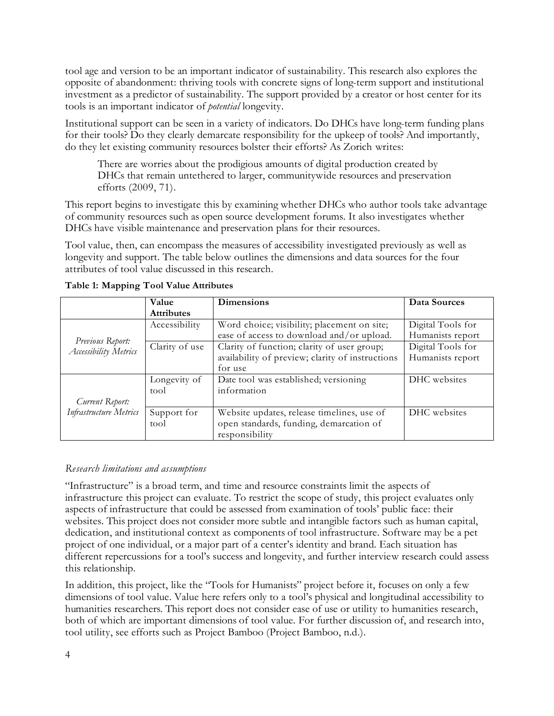tool age and version to be an important indicator of sustainability. This research also explores the opposite of abandonment: thriving tools with concrete signs of long-term support and institutional investment as a predictor of sustainability. The support provided by a creator or host center for its tools is an important indicator of *potential* longevity.

Institutional support can be seen in a variety of indicators. Do DHCs have long-term funding plans for their tools? Do they clearly demarcate responsibility for the upkeep of tools? And importantly, do they let existing community resources bolster their efforts? As Zorich writes:

There are worries about the prodigious amounts of digital production created by DHCs that remain untethered to larger, communitywide resources and preservation efforts (2009, 71).

This report begins to investigate this by examining whether DHCs who author tools take advantage of community resources such as open source development forums. It also investigates whether DHCs have visible maintenance and preservation plans for their resources.

Tool value, then, can encompass the measures of accessibility investigated previously as well as longevity and support. The table below outlines the dimensions and data sources for the four attributes of tool value discussed in this research.

|                                           | Value             | <b>Dimensions</b>                                | Data Sources      |
|-------------------------------------------|-------------------|--------------------------------------------------|-------------------|
|                                           | <b>Attributes</b> |                                                  |                   |
|                                           | Accessibility     | Word choice; visibility; placement on site;      | Digital Tools for |
|                                           |                   | ease of access to download and/or upload.        | Humanists report  |
| Previous Report:<br>Accessibility Metrics | Clarity of use    | Clarity of function; clarity of user group;      | Digital Tools for |
|                                           |                   | availability of preview; clarity of instructions | Humanists report  |
|                                           |                   | for use                                          |                   |
|                                           | Longevity of      | Date tool was established; versioning            | DHC websites      |
|                                           | tool              | information                                      |                   |
| Current Report:                           |                   |                                                  |                   |
| Infrastructure Metrics                    | Support for       | Website updates, release timelines, use of       | DHC websites      |
|                                           | tool              | open standards, funding, demarcation of          |                   |
|                                           |                   | responsibility                                   |                   |

**Table 1: Mapping Tool Value Attributes**

### *Research limitations and assumptions*

"Infrastructure" is a broad term, and time and resource constraints limit the aspects of infrastructure this project can evaluate. To restrict the scope of study, this project evaluates only aspects of infrastructure that could be assessed from examination of tools' public face: their websites. This project does not consider more subtle and intangible factors such as human capital, dedication, and institutional context as components of tool infrastructure. Software may be a pet project of one individual, or a major part of a center's identity and brand. Each situation has different repercussions for a tool's success and longevity, and further interview research could assess this relationship.

In addition, this project, like the "Tools for Humanists" project before it, focuses on only a few dimensions of tool value. Value here refers only to a tool's physical and longitudinal accessibility to humanities researchers. This report does not consider ease of use or utility to humanities research, both of which are important dimensions of tool value. For further discussion of, and research into, tool utility, see efforts such as Project Bamboo (Project Bamboo, n.d.).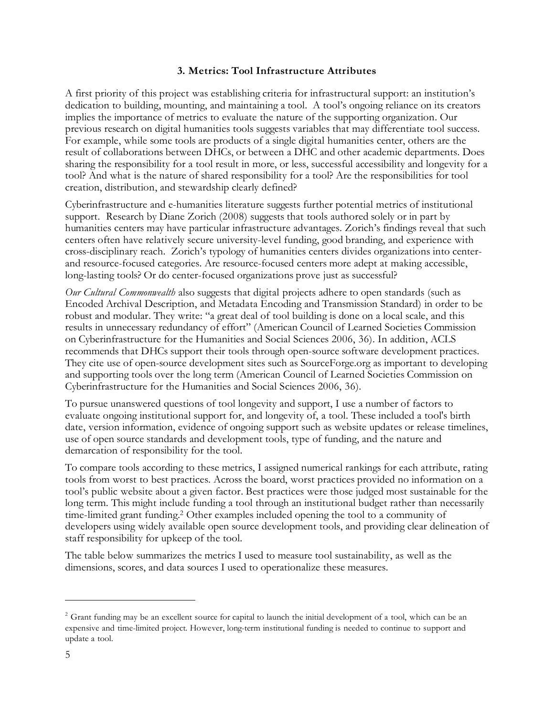## **3. Metrics: Tool Infrastructure Attributes**

A first priority of this project was establishing criteria for infrastructural support: an institution's dedication to building, mounting, and maintaining a tool. A tool's ongoing reliance on its creators implies the importance of metrics to evaluate the nature of the supporting organization. Our previous research on digital humanities tools suggests variables that may differentiate tool success. For example, while some tools are products of a single digital humanities center, others are the result of collaborations between DHCs, or between a DHC and other academic departments. Does sharing the responsibility for a tool result in more, or less, successful accessibility and longevity for a tool? And what is the nature of shared responsibility for a tool? Are the responsibilities for tool creation, distribution, and stewardship clearly defined?

Cyberinfrastructure and e-humanities literature suggests further potential metrics of institutional support. Research by Diane Zorich (2008) suggests that tools authored solely or in part by humanities centers may have particular infrastructure advantages. Zorich's findings reveal that such centers often have relatively secure university-level funding, good branding, and experience with cross-disciplinary reach. Zorich's typology of humanities centers divides organizations into centerand resource-focused categories. Are resource-focused centers more adept at making accessible, long-lasting tools? Or do center-focused organizations prove just as successful?

*Our Cultural Commonwealth* also suggests that digital projects adhere to open standards (such as Encoded Archival Description, and Metadata Encoding and Transmission Standard) in order to be robust and modular. They write: "a great deal of tool building is done on a local scale, and this results in unnecessary redundancy of effort" (American Council of Learned Societies Commission on Cyberinfrastructure for the Humanities and Social Sciences 2006, 36). In addition, ACLS recommends that DHCs support their tools through open-source software development practices. They cite use of open-source development sites such as SourceForge.org as important to developing and supporting tools over the long term (American Council of Learned Societies Commission on Cyberinfrastructure for the Humanities and Social Sciences 2006, 36).

To pursue unanswered questions of tool longevity and support, I use a number of factors to evaluate ongoing institutional support for, and longevity of, a tool. These included a tool's birth date, version information, evidence of ongoing support such as website updates or release timelines, use of open source standards and development tools, type of funding, and the nature and demarcation of responsibility for the tool.

To compare tools according to these metrics, I assigned numerical rankings for each attribute, rating tools from worst to best practices. Across the board, worst practices provided no information on a tool's public website about a given factor. Best practices were those judged most sustainable for the long term. This might include funding a tool through an institutional budget rather than necessarily time-limited grant funding.2 Other examples included opening the tool to a community of developers using widely available open source development tools, and providing clear delineation of staff responsibility for upkeep of the tool.

The table below summarizes the metrics I used to measure tool sustainability, as well as the dimensions, scores, and data sources I used to operationalize these measures.

 $\overline{a}$ 

<sup>&</sup>lt;sup>2</sup> Grant funding may be an excellent source for capital to launch the initial development of a tool, which can be an expensive and time-limited project. However, long-term institutional funding is needed to continue to support and update a tool.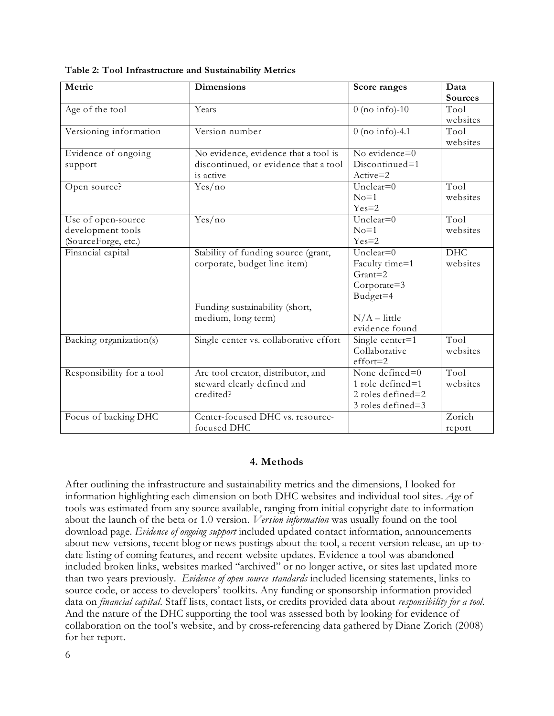| Metric                    | <b>Dimensions</b>                      | Score ranges        | Data       |
|---------------------------|----------------------------------------|---------------------|------------|
|                           |                                        |                     | Sources    |
| Age of the tool           | Years                                  | $0$ (no info)- $10$ | Tool       |
|                           |                                        |                     | websites   |
| Versioning information    | Version number                         | $0$ (no info)-4.1   | Tool       |
|                           |                                        |                     | websites   |
| Evidence of ongoing       | No evidence, evidence that a tool is   | No evidence=0       |            |
| support                   | discontinued, or evidence that a tool  | Discontinued=1      |            |
|                           | is active                              | Active=2            |            |
| Open source?              | Yes/no                                 | Unclear= $0$        | Tool       |
|                           |                                        | $No=1$              | websites   |
|                           |                                        | $Yes=2$             |            |
| Use of open-source        | Yes/no                                 | Unclear= $0$        | Tool       |
| development tools         |                                        | $No=1$              | websites   |
| (SourceForge, etc.)       |                                        | $Yes=2$             |            |
| Financial capital         | Stability of funding source (grant,    | Unclear=0           | <b>DHC</b> |
|                           | corporate, budget line item)           | Faculty time=1      | websites   |
|                           |                                        | $G$ rant=2          |            |
|                           |                                        | Corporate=3         |            |
|                           |                                        | Budget=4            |            |
|                           | Funding sustainability (short,         |                     |            |
|                           | medium, long term)                     | $N/A$ – little      |            |
|                           |                                        | evidence found      |            |
| Backing organization(s)   | Single center vs. collaborative effort | Single center=1     | Tool       |
|                           |                                        | Collaborative       | websites   |
|                           |                                        | effort=2            |            |
| Responsibility for a tool | Are tool creator, distributor, and     | None defined=0      | Tool       |
|                           | steward clearly defined and            | 1 role defined=1    | websites   |
|                           | credited?                              | 2 roles defined=2   |            |
|                           |                                        | 3 roles defined=3   |            |
| Focus of backing DHC      | Center-focused DHC vs. resource-       |                     | Zorich     |
|                           | focused DHC                            |                     |            |
|                           |                                        |                     | report     |

**Table 2: Tool Infrastructure and Sustainability Metrics**

#### **4. Methods**

After outlining the infrastructure and sustainability metrics and the dimensions, I looked for information highlighting each dimension on both DHC websites and individual tool sites. *Age* of tools was estimated from any source available, ranging from initial copyright date to information about the launch of the beta or 1.0 version. *Version information* was usually found on the tool download page. *Evidence of ongoing support* included updated contact information, announcements about new versions, recent blog or news postings about the tool, a recent version release, an up-todate listing of coming features, and recent website updates. Evidence a tool was abandoned included broken links, websites marked "archived" or no longer active, or sites last updated more than two years previously. *Evidence of open source standards* included licensing statements, links to source code, or access to developers' toolkits. Any funding or sponsorship information provided data on *financial capital*. Staff lists, contact lists, or credits provided data about *responsibility for a tool*. And the nature of the DHC supporting the tool was assessed both by looking for evidence of collaboration on the tool's website, and by cross-referencing data gathered by Diane Zorich (2008) for her report.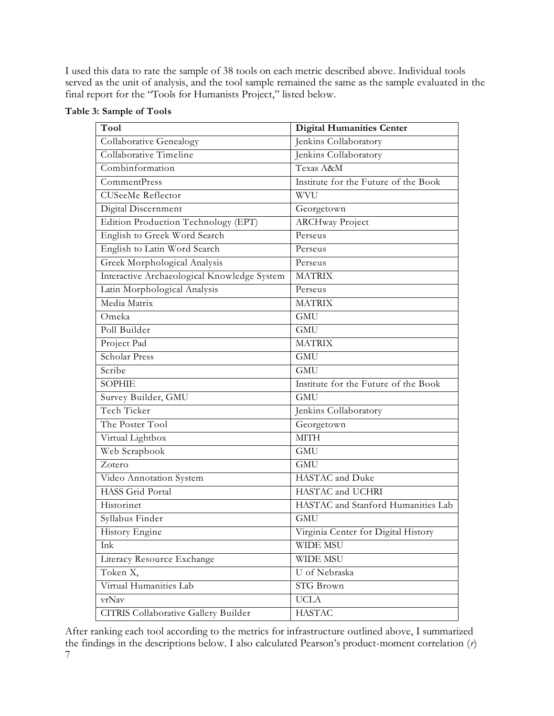I used this data to rate the sample of 38 tools on each metric described above. Individual tools served as the unit of analysis, and the tool sample remained the same as the sample evaluated in the final report for the "Tools for Humanists Project," listed below.

| Tool                                        | <b>Digital Humanities Center</b>     |
|---------------------------------------------|--------------------------------------|
| Collaborative Genealogy                     | Jenkins Collaboratory                |
| Collaborative Timeline                      | Jenkins Collaboratory                |
| Combinformation                             | Texas A&M                            |
| CommentPress                                | Institute for the Future of the Book |
| <b>CUSeeMe Reflector</b>                    | <b>WVU</b>                           |
| Digital Discernment                         | Georgetown                           |
| Edition Production Technology (EPT)         | <b>ARCHway Project</b>               |
| English to Greek Word Search                | $\overline{\text{Perseus}}$          |
| English to Latin Word Search                | Perseus                              |
| Greek Morphological Analysis                | Perseus                              |
| Interactive Archaeological Knowledge System | <b>MATRIX</b>                        |
| Latin Morphological Analysis                | Perseus                              |
| Media Matrix                                | <b>MATRIX</b>                        |
| Omeka                                       | <b>GMU</b>                           |
| Poll Builder                                | <b>GMU</b>                           |
| Project Pad                                 | <b>MATRIX</b>                        |
| Scholar Press                               | <b>GMU</b>                           |
| Scribe                                      | <b>GMU</b>                           |
| <b>SOPHIE</b>                               | Institute for the Future of the Book |
| Survey Builder, GMU                         | <b>GMU</b>                           |
| Tech Ticker                                 | Jenkins Collaboratory                |
| The Poster Tool                             | Georgetown                           |
| Virtual Lightbox                            | <b>MITH</b>                          |
| Web Scrapbook                               | <b>GMU</b>                           |
| Zotero                                      | <b>GMU</b>                           |
| Video Annotation System                     | HASTAC and Duke                      |
| <b>HASS Grid Portal</b>                     | HASTAC and UCHRI                     |
| Historinet                                  | HASTAC and Stanford Humanities Lab   |
| Syllabus Finder                             | <b>GMU</b>                           |
| History Engine                              | Virginia Center for Digital History  |
| Ink                                         | <b>WIDE MSU</b>                      |
| Literacy Resource Exchange                  | <b>WIDE MSU</b>                      |
| Token X,                                    | U of Nebraska                        |
| Virtual Humanities Lab                      | STG Brown                            |
| vrNav                                       | <b>UCLA</b>                          |
| CITRIS Collaborative Gallery Builder        | <b>HASTAC</b>                        |

**Table 3: Sample of Tools**

7 After ranking each tool according to the metrics for infrastructure outlined above, I summarized the findings in the descriptions below. I also calculated Pearson's product-moment correlation (*r*)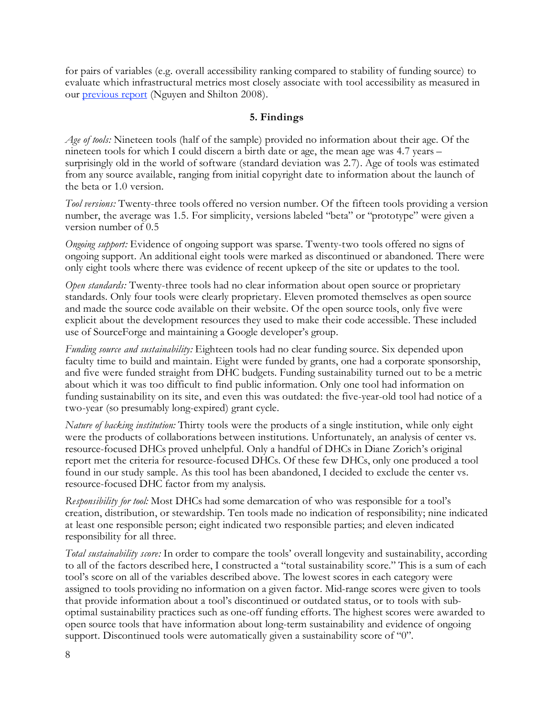for pairs of variables (e.g. overall accessibility ranking compared to stability of funding source) to evaluate which infrastructural metrics most closely associate with tool accessibility as measured in our [previous report](http://www.clir.org/pubs/reports/pub143/appendf.html) (Nguyen and Shilton 2008).

## **5. Findings**

*Age of tools:* Nineteen tools (half of the sample) provided no information about their age. Of the nineteen tools for which I could discern a birth date or age, the mean age was 4.7 years – surprisingly old in the world of software (standard deviation was 2.7). Age of tools was estimated from any source available, ranging from initial copyright date to information about the launch of the beta or 1.0 version.

*Tool versions:* Twenty-three tools offered no version number. Of the fifteen tools providing a version number, the average was 1.5. For simplicity, versions labeled "beta" or "prototype" were given a version number of 0.5

*Ongoing support:* Evidence of ongoing support was sparse. Twenty-two tools offered no signs of ongoing support. An additional eight tools were marked as discontinued or abandoned. There were only eight tools where there was evidence of recent upkeep of the site or updates to the tool.

*Open standards:* Twenty-three tools had no clear information about open source or proprietary standards. Only four tools were clearly proprietary. Eleven promoted themselves as open source and made the source code available on their website. Of the open source tools, only five were explicit about the development resources they used to make their code accessible. These included use of SourceForge and maintaining a Google developer's group.

*Funding source and sustainability:* Eighteen tools had no clear funding source. Six depended upon faculty time to build and maintain. Eight were funded by grants, one had a corporate sponsorship, and five were funded straight from DHC budgets. Funding sustainability turned out to be a metric about which it was too difficult to find public information. Only one tool had information on funding sustainability on its site, and even this was outdated: the five-year-old tool had notice of a two-year (so presumably long-expired) grant cycle.

*Nature of backing institution:* Thirty tools were the products of a single institution, while only eight were the products of collaborations between institutions. Unfortunately, an analysis of center vs. resource-focused DHCs proved unhelpful. Only a handful of DHCs in Diane Zorich's original report met the criteria for resource-focused DHCs. Of these few DHCs, only one produced a tool found in our study sample. As this tool has been abandoned, I decided to exclude the center vs. resource-focused DHC factor from my analysis.

*Responsibility for tool:* Most DHCs had some demarcation of who was responsible for a tool's creation, distribution, or stewardship. Ten tools made no indication of responsibility; nine indicated at least one responsible person; eight indicated two responsible parties; and eleven indicated responsibility for all three.

*Total sustainability score:* In order to compare the tools' overall longevity and sustainability, according to all of the factors described here, I constructed a "total sustainability score." This is a sum of each tool's score on all of the variables described above. The lowest scores in each category were assigned to tools providing no information on a given factor. Mid-range scores were given to tools that provide information about a tool's discontinued or outdated status, or to tools with suboptimal sustainability practices such as one-off funding efforts. The highest scores were awarded to open source tools that have information about long-term sustainability and evidence of ongoing support. Discontinued tools were automatically given a sustainability score of "0".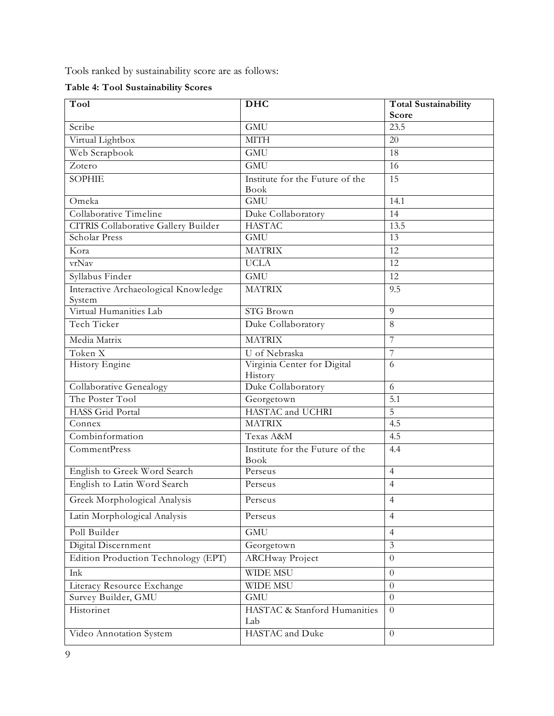Tools ranked by sustainability score are as follows:

**Table 4: Tool Sustainability Scores**

| Tool                                           | <b>DHC</b>                                     | <b>Total Sustainability</b> |
|------------------------------------------------|------------------------------------------------|-----------------------------|
|                                                |                                                | Score                       |
| Scribe                                         | <b>GMU</b>                                     | 23.5                        |
| Virtual Lightbox                               | <b>MITH</b>                                    | 20                          |
| Web Scrapbook                                  | <b>GMU</b>                                     | 18                          |
| Zotero                                         | <b>GMU</b>                                     | 16                          |
| <b>SOPHIE</b>                                  | Institute for the Future of the<br>Book        | 15                          |
| Omeka                                          | <b>GMU</b>                                     | 14.1                        |
| Collaborative Timeline                         | Duke Collaboratory                             | 14                          |
| <b>CITRIS Collaborative Gallery Builder</b>    | <b>HASTAC</b>                                  | 13.5                        |
| Scholar Press                                  | <b>GMU</b>                                     | 13                          |
| Kora                                           | <b>MATRIX</b>                                  | 12                          |
| vrNav                                          | <b>UCLA</b>                                    | 12                          |
| Syllabus Finder                                | <b>GMU</b>                                     | 12                          |
| Interactive Archaeological Knowledge<br>System | <b>MATRIX</b>                                  | 9.5                         |
| Virtual Humanities Lab                         | STG Brown                                      | $\Omega$                    |
| Tech Ticker                                    | Duke Collaboratory                             | 8                           |
| Media Matrix                                   | <b>MATRIX</b>                                  | 7                           |
| Token X                                        | U of Nebraska                                  | 7                           |
| History Engine                                 | Virginia Center for Digital<br>History         | 6                           |
| Collaborative Genealogy                        | Duke Collaboratory                             | 6                           |
| The Poster Tool                                | Georgetown                                     | $\overline{5.1}$            |
| HASS Grid Portal                               | HASTAC and UCHRI                               | 5                           |
| Connex                                         | <b>MATRIX</b>                                  | $\overline{4.5}$            |
| Combinformation                                | Texas A&M                                      | 4.5                         |
| CommentPress                                   | Institute for the Future of the<br><b>Book</b> | 4.4                         |
| English to Greek Word Search                   | Perseus                                        | $\overline{4}$              |
| English to Latin Word Search                   | Perseus                                        | $\overline{4}$              |
| Greek Morphological Analysis                   | Perseus                                        | $\overline{4}$              |
| Latin Morphological Analysis                   | Perseus                                        | $\overline{4}$              |
| Poll Builder                                   | <b>GMU</b>                                     | $\overline{4}$              |
| Digital Discernment                            | Georgetown                                     | $\overline{3}$              |
| Edition Production Technology (EPT)            | <b>ARCHway Project</b>                         | $\overline{0}$              |
| Ink                                            | <b>WIDE MSU</b>                                | $\overline{0}$              |
| Literacy Resource Exchange                     | WIDE MSU                                       | $\theta$                    |
| Survey Builder, GMU                            | <b>GMU</b>                                     | $\theta$                    |
| Historinet                                     | HASTAC & Stanford Humanities<br>Lab            | $\Omega$                    |
| Video Annotation System                        | HASTAC and Duke                                | $\overline{0}$              |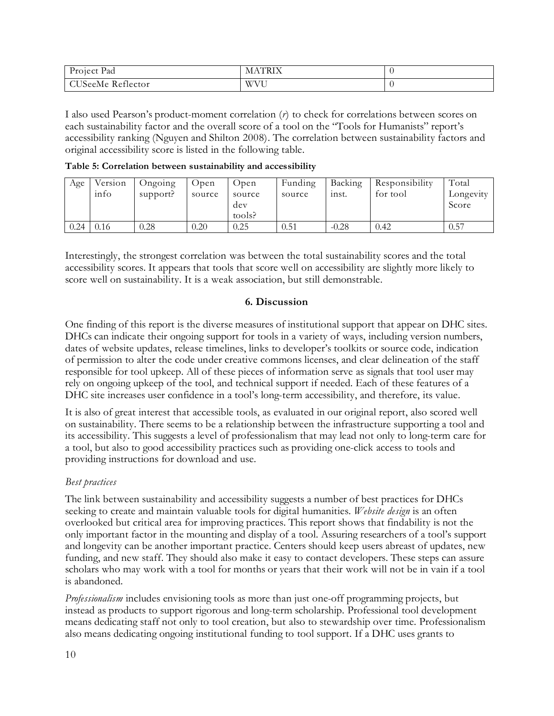| $P_{\text{reject 1}}$ .<br>Pad                          | $\sim$ but we have the set of $\sim$<br>VI |  |
|---------------------------------------------------------|--------------------------------------------|--|
| æ.<br>$\sim$ $\sim$ $\sim$<br><b>Reflector</b><br>SeeMe | <b>WVU</b>                                 |  |

I also used Pearson's product-moment correlation (*r*) to check for correlations between scores on each sustainability factor and the overall score of a tool on the "Tools for Humanists" report's accessibility ranking (Nguyen and Shilton 2008). The correlation between sustainability factors and original accessibility score is listed in the following table.

**Table 5: Correlation between sustainability and accessibility**

| Age  | Version<br>info | Ongoing<br>support? | Open<br>source | Open<br>source<br>dev<br>tools? | Funding<br>source | Backing<br>inst. | Responsibility<br>tor tool | Total<br>Longevity<br>Score |
|------|-----------------|---------------------|----------------|---------------------------------|-------------------|------------------|----------------------------|-----------------------------|
| 0.24 | 0.16            | 0.28                | 0.20           | 0.25                            | 0.51              | $-0.28$          | 0.42                       | 0.57                        |

Interestingly, the strongest correlation was between the total sustainability scores and the total accessibility scores. It appears that tools that score well on accessibility are slightly more likely to score well on sustainability. It is a weak association, but still demonstrable.

## **6. Discussion**

One finding of this report is the diverse measures of institutional support that appear on DHC sites. DHCs can indicate their ongoing support for tools in a variety of ways, including version numbers, dates of website updates, release timelines, links to developer's toolkits or source code, indication of permission to alter the code under creative commons licenses, and clear delineation of the staff responsible for tool upkeep. All of these pieces of information serve as signals that tool user may rely on ongoing upkeep of the tool, and technical support if needed. Each of these features of a DHC site increases user confidence in a tool's long-term accessibility, and therefore, its value.

It is also of great interest that accessible tools, as evaluated in our original report, also scored well on sustainability. There seems to be a relationship between the infrastructure supporting a tool and its accessibility. This suggests a level of professionalism that may lead not only to long-term care for a tool, but also to good accessibility practices such as providing one-click access to tools and providing instructions for download and use.

# *Best practices*

The link between sustainability and accessibility suggests a number of best practices for DHCs seeking to create and maintain valuable tools for digital humanities. *Website design* is an often overlooked but critical area for improving practices. This report shows that findability is not the only important factor in the mounting and display of a tool. Assuring researchers of a tool's support and longevity can be another important practice. Centers should keep users abreast of updates, new funding, and new staff. They should also make it easy to contact developers. These steps can assure scholars who may work with a tool for months or years that their work will not be in vain if a tool is abandoned.

*Professionalism* includes envisioning tools as more than just one-off programming projects, but instead as products to support rigorous and long-term scholarship. Professional tool development means dedicating staff not only to tool creation, but also to stewardship over time. Professionalism also means dedicating ongoing institutional funding to tool support. If a DHC uses grants to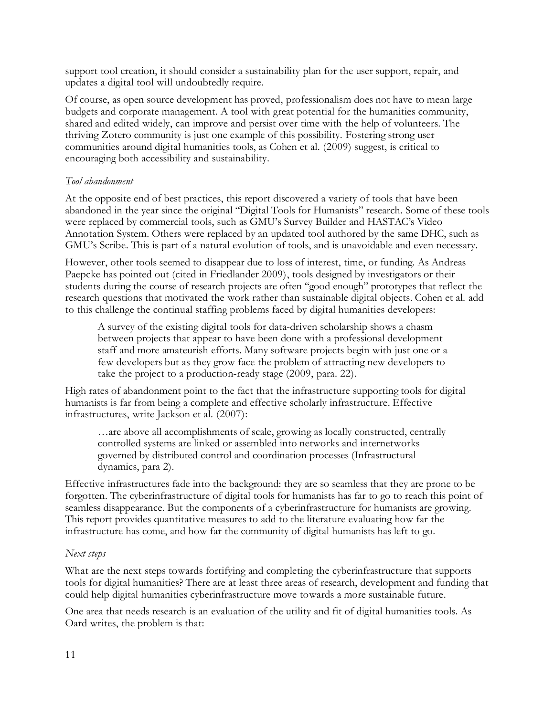support tool creation, it should consider a sustainability plan for the user support, repair, and updates a digital tool will undoubtedly require.

Of course, as open source development has proved, professionalism does not have to mean large budgets and corporate management. A tool with great potential for the humanities community, shared and edited widely, can improve and persist over time with the help of volunteers. The thriving Zotero community is just one example of this possibility. Fostering strong user communities around digital humanities tools, as Cohen et al. (2009) suggest, is critical to encouraging both accessibility and sustainability.

# *Tool abandonment*

At the opposite end of best practices, this report discovered a variety of tools that have been abandoned in the year since the original "Digital Tools for Humanists" research. Some of these tools were replaced by commercial tools, such as GMU's Survey Builder and HASTAC's Video Annotation System. Others were replaced by an updated tool authored by the same DHC, such as GMU's Scribe. This is part of a natural evolution of tools, and is unavoidable and even necessary.

However, other tools seemed to disappear due to loss of interest, time, or funding. As Andreas Paepcke has pointed out (cited in Friedlander 2009), tools designed by investigators or their students during the course of research projects are often "good enough" prototypes that reflect the research questions that motivated the work rather than sustainable digital objects. Cohen et al. add to this challenge the continual staffing problems faced by digital humanities developers:

A survey of the existing digital tools for data-driven scholarship shows a chasm between projects that appear to have been done with a professional development staff and more amateurish efforts. Many software projects begin with just one or a few developers but as they grow face the problem of attracting new developers to take the project to a production-ready stage (2009, para. 22).

High rates of abandonment point to the fact that the infrastructure supporting tools for digital humanists is far from being a complete and effective scholarly infrastructure. Effective infrastructures, write Jackson et al. (2007):

…are above all accomplishments of scale, growing as locally constructed, centrally controlled systems are linked or assembled into networks and internetworks governed by distributed control and coordination processes (Infrastructural dynamics, para 2).

Effective infrastructures fade into the background: they are so seamless that they are prone to be forgotten. The cyberinfrastructure of digital tools for humanists has far to go to reach this point of seamless disappearance. But the components of a cyberinfrastructure for humanists are growing. This report provides quantitative measures to add to the literature evaluating how far the infrastructure has come, and how far the community of digital humanists has left to go.

### *Next steps*

What are the next steps towards fortifying and completing the cyberinfrastructure that supports tools for digital humanities? There are at least three areas of research, development and funding that could help digital humanities cyberinfrastructure move towards a more sustainable future.

One area that needs research is an evaluation of the utility and fit of digital humanities tools. As Oard writes, the problem is that: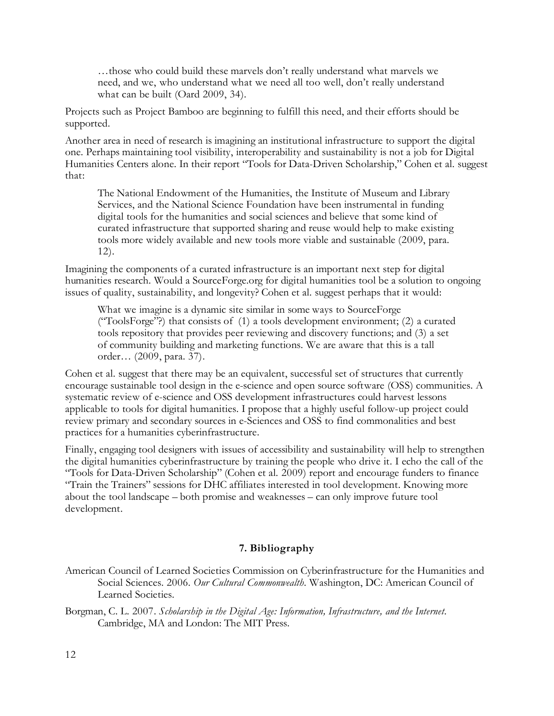…those who could build these marvels don't really understand what marvels we need, and we, who understand what we need all too well, don't really understand what can be built (Oard 2009, 34).

Projects such as Project Bamboo are beginning to fulfill this need, and their efforts should be supported.

Another area in need of research is imagining an institutional infrastructure to support the digital one. Perhaps maintaining tool visibility, interoperability and sustainability is not a job for Digital Humanities Centers alone. In their report "Tools for Data-Driven Scholarship," Cohen et al. suggest that:

The National Endowment of the Humanities, the Institute of Museum and Library Services, and the National Science Foundation have been instrumental in funding digital tools for the humanities and social sciences and believe that some kind of curated infrastructure that supported sharing and reuse would help to make existing tools more widely available and new tools more viable and sustainable (2009, para. 12).

Imagining the components of a curated infrastructure is an important next step for digital humanities research. Would a SourceForge.org for digital humanities tool be a solution to ongoing issues of quality, sustainability, and longevity? Cohen et al. suggest perhaps that it would:

What we imagine is a dynamic site similar in some ways to SourceForge ("ToolsForge"?) that consists of  $(1)$  a tools development environment;  $(2)$  a curated tools repository that provides peer reviewing and discovery functions; and (3) a set of community building and marketing functions. We are aware that this is a tall order… (2009, para. 37).

Cohen et al. suggest that there may be an equivalent, successful set of structures that currently encourage sustainable tool design in the e-science and open source software (OSS) communities. A systematic review of e-science and OSS development infrastructures could harvest lessons applicable to tools for digital humanities. I propose that a highly useful follow-up project could review primary and secondary sources in e-Sciences and OSS to find commonalities and best practices for a humanities cyberinfrastructure.

Finally, engaging tool designers with issues of accessibility and sustainability will help to strengthen the digital humanities cyberinfrastructure by training the people who drive it. I echo the call of the "Tools for Data-Driven Scholarship" (Cohen et al. 2009) report and encourage funders to finance "Train the Trainers" sessions for DHC affiliates interested in tool development. Knowing more about the tool landscape – both promise and weaknesses – can only improve future tool development.

### **7. Bibliography**

- American Council of Learned Societies Commission on Cyberinfrastructure for the Humanities and Social Sciences. 2006. *Our Cultural Commonwealth*. Washington, DC: American Council of Learned Societies.
- Borgman, C. L. 2007. *Scholarship in the Digital Age: Information, Infrastructure, and the Internet*. Cambridge, MA and London: The MIT Press.